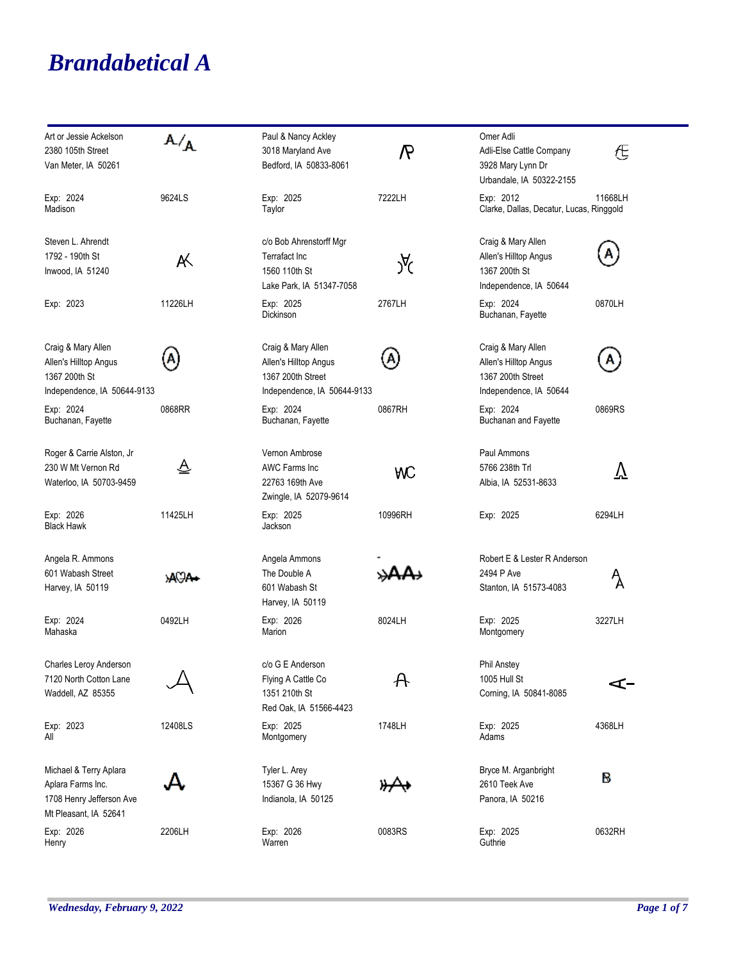## *Brandabetical A*

| Art or Jessie Ackelson      | ${\tt A/}_{{\sf A}}$        | Paul & Nancy Ackley         |                   | Omer Adli                                |               |
|-----------------------------|-----------------------------|-----------------------------|-------------------|------------------------------------------|---------------|
| 2380 105th Street           |                             | 3018 Maryland Ave           | $\mathcal{R}$     | Adli-Else Cattle Company                 | ∉             |
| Van Meter, IA 50261         |                             | Bedford, IA 50833-8061      |                   | 3928 Mary Lynn Dr                        |               |
|                             |                             |                             |                   | Urbandale, IA 50322-2155                 |               |
| Exp: 2024                   | 9624LS                      | Exp: 2025                   | 7222LH            | Exp: 2012                                | 11668LH       |
| Madison                     |                             | Taylor                      |                   | Clarke, Dallas, Decatur, Lucas, Ringgold |               |
|                             |                             |                             |                   |                                          |               |
| Steven L. Ahrendt           |                             | c/o Bob Ahrenstorff Mgr     |                   | Craig & Mary Allen                       |               |
| 1792 - 190th St             | A.                          | Terrafact Inc               |                   | Allen's Hilltop Angus                    | А             |
| Inwood, IA 51240            |                             | 1560 110th St               | Уά                | 1367 200th St                            |               |
|                             |                             | Lake Park, IA 51347-7058    |                   | Independence, IA 50644                   |               |
| Exp: 2023                   | 11226LH                     | Exp: 2025                   | 2767LH            | Exp: 2024                                | 0870LH        |
|                             |                             | <b>Dickinson</b>            |                   | Buchanan, Fayette                        |               |
|                             |                             |                             |                   |                                          |               |
| Craig & Mary Allen          |                             | Craig & Mary Allen          |                   | Craig & Mary Allen                       |               |
| Allen's Hilltop Angus       | A,                          | Allen's Hilltop Angus       | A,                | Allen's Hilltop Angus                    | Α             |
| 1367 200th St               |                             | 1367 200th Street           |                   | 1367 200th Street                        |               |
| Independence, IA 50644-9133 |                             | Independence, IA 50644-9133 |                   | Independence, IA 50644                   |               |
| Exp: 2024                   | 0868RR                      | Exp: 2024                   | 0867RH            | Exp: 2024                                | 0869RS        |
| Buchanan, Fayette           |                             | Buchanan, Fayette           |                   | Buchanan and Fayette                     |               |
|                             |                             |                             |                   |                                          |               |
| Roger & Carrie Alston, Jr   |                             | Vernon Ambrose              |                   | Paul Ammons                              |               |
| 230 W Mt Vernon Rd          | $\overline{\triangleright}$ | <b>AWC Farms Inc</b>        | WС                | 5766 238th Trl                           | $\rm \nabla$  |
| Waterloo, IA 50703-9459     |                             | 22763 169th Ave             |                   | Albia, IA 52531-8633                     |               |
|                             |                             | Zwingle, IA 52079-9614      |                   |                                          |               |
| Exp: 2026                   | 11425LH                     | Exp: 2025                   | 10996RH           | Exp: 2025                                | 6294LH        |
| <b>Black Hawk</b>           |                             | Jackson                     |                   |                                          |               |
|                             |                             |                             |                   |                                          |               |
| Angela R. Ammons            |                             | Angela Ammons               |                   | Robert E & Lester R Anderson             |               |
| 601 Wabash Street           | <b>ACA.</b>                 | The Double A                |                   | 2494 P Ave                               | $\mathcal{A}$ |
| Harvey, IA 50119            |                             | 601 Wabash St               |                   | Stanton, IA 51573-4083                   |               |
|                             |                             | Harvey, IA 50119            |                   |                                          |               |
| Exp: 2024                   | 0492LH                      | Exp: 2026                   | 8024LH            | Exp: 2025                                | 3227LH        |
| Mahaska                     |                             | Marion                      |                   | Montgomery                               |               |
|                             |                             |                             |                   |                                          |               |
| Charles Leroy Anderson      |                             | c/o G E Anderson            |                   | <b>Phil Anstey</b>                       |               |
| 7120 North Cotton Lane      |                             | Flying A Cattle Co          | $\bm{\mathsf{A}}$ | 1005 Hull St                             | –⊃            |
| Waddell, AZ 85355           |                             | 1351 210th St               |                   | Corning, IA 50841-8085                   |               |
|                             |                             | Red Oak, IA 51566-4423      |                   |                                          |               |
| Exp: 2023                   | 12408LS                     | Exp: 2025                   | 1748LH            | Exp: 2025                                | 4368LH        |
| All                         |                             | Montgomery                  |                   | Adams                                    |               |
|                             |                             |                             |                   |                                          |               |
| Michael & Terry Aplara      |                             | Tyler L. Arey               |                   | Bryce M. Arganbright                     | В             |
| Aplara Farms Inc.           |                             | 15367 G 36 Hwy              |                   | 2610 Teek Ave                            |               |
| 1708 Henry Jefferson Ave    |                             | Indianola, IA 50125         |                   | Panora, IA 50216                         |               |
| Mt Pleasant, IA 52641       |                             |                             |                   |                                          |               |
| Exp: 2026                   | 2206LH                      | Exp: 2026                   | 0083RS            | Exp: 2025                                | 0632RH        |
| Henry                       |                             | Warren                      |                   | Guthrie                                  |               |
|                             |                             |                             |                   |                                          |               |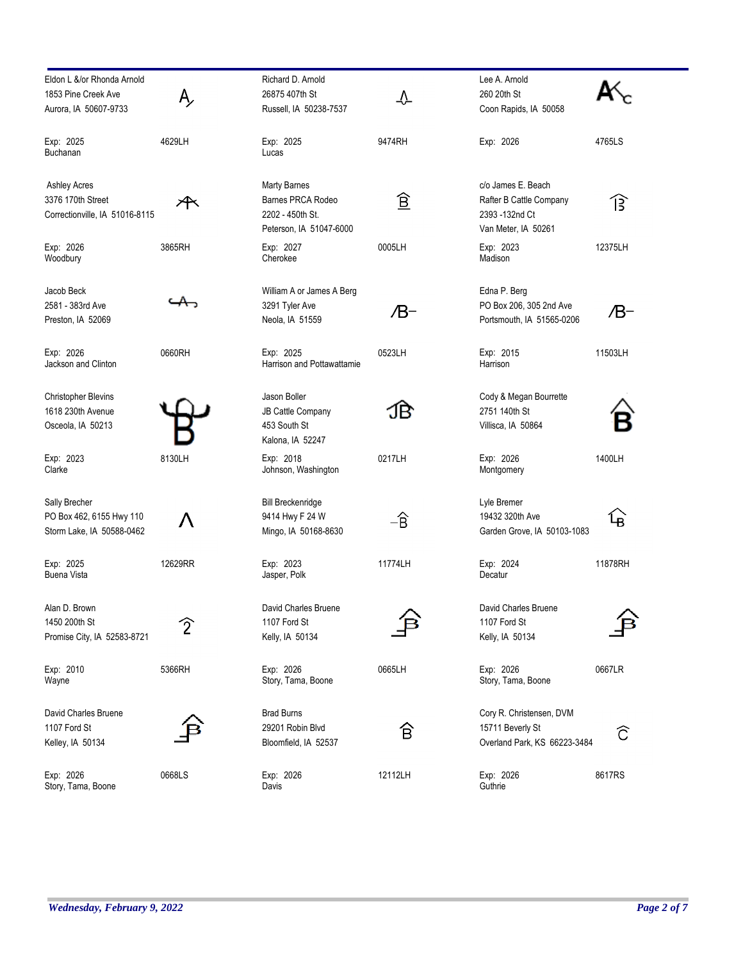| Eldon L &/or Rhonda Arnold<br>1853 Pine Creek Ave                          |                | Richard D. Arnold<br>26875 407th St                                                     | ╩        | Lee A. Arnold<br>260 20th St                                                           |         |
|----------------------------------------------------------------------------|----------------|-----------------------------------------------------------------------------------------|----------|----------------------------------------------------------------------------------------|---------|
| Aurora, IA 50607-9733                                                      |                | Russell, IA 50238-7537                                                                  |          | Coon Rapids, IA 50058                                                                  |         |
| Exp: 2025<br><b>Buchanan</b>                                               | 4629LH         | Exp: 2025<br>Lucas                                                                      | 9474RH   | Exp: 2026                                                                              | 4765LS  |
| <b>Ashley Acres</b><br>3376 170th Street<br>Correctionville, IA 51016-8115 |                | <b>Marty Barnes</b><br>Barnes PRCA Rodeo<br>2202 - 450th St.<br>Peterson, IA 51047-6000 | <u>ê</u> | c/o James E. Beach<br>Rafter B Cattle Company<br>2393 -132nd Ct<br>Van Meter, IA 50261 | 兮       |
| Exp: 2026<br>Woodbury                                                      | 3865RH         | Exp: 2027<br>Cherokee                                                                   | 0005LH   | Exp: 2023<br>Madison                                                                   | 12375LH |
| Jacob Beck<br>2581 - 383rd Ave<br>Preston, IA 52069                        |                | William A or James A Berg<br>3291 Tyler Ave<br>Neola, IA 51559                          | /B-      | Edna P. Berg<br>PO Box 206, 305 2nd Ave<br>Portsmouth, IA 51565-0206                   | /B-     |
| Exp: 2026<br>Jackson and Clinton                                           | 0660RH         | Exp: 2025<br>Harrison and Pottawattamie                                                 | 0523LH   | Exp: 2015<br>Harrison                                                                  | 11503LH |
| Christopher Blevins<br>1618 230th Avenue<br>Osceola, IA 50213              |                | Jason Boller<br>JB Cattle Company<br>453 South St<br>Kalona, IA 52247                   | :1B      | Cody & Megan Bourrette<br>2751 140th St<br>Villisca, IA 50864                          |         |
| Exp: 2023<br>Clarke                                                        | 8130LH         | Exp: 2018<br>Johnson, Washington                                                        | 0217LH   | Exp: 2026<br>Montgomery                                                                | 1400LH  |
| Sally Brecher<br>PO Box 462, 6155 Hwy 110<br>Storm Lake, IA 50588-0462     |                | <b>Bill Breckenridge</b><br>9414 Hwy F 24 W<br>Mingo, IA 50168-8630                     | –Ê       | Lyle Bremer<br>19432 320th Ave<br>Garden Grove, IA 50103-1083                          | ᡶᢅ      |
| Exp: 2025<br><b>Buena Vista</b>                                            | 12629RR        | Exp: 2023<br>Jasper, Polk                                                               | 11774LH  | Exp: 2024<br>Decatur                                                                   | 11878RH |
| Alan D. Brown<br>1450 200th St<br>Promise City, IA 52583-8721              | $\overline{2}$ | David Charles Bruene<br>1107 Ford St<br>Kelly, IA 50134                                 |          | David Charles Bruene<br>1107 Ford St<br>Kelly, IA 50134                                |         |
| Exp: 2010<br>Wayne                                                         | 5366RH         | Exp: 2026<br>Story, Tama, Boone                                                         | 0665LH   | Exp: 2026<br>Story, Tama, Boone                                                        | 0667LR  |
| David Charles Bruene<br>1107 Ford St<br>Kelley, IA 50134                   |                | <b>Brad Burns</b><br>29201 Robin Blvd<br>Bloomfield, IA 52537                           | 仓        | Cory R. Christensen, DVM<br>15711 Beverly St<br>Overland Park, KS 66223-3484           | ĉ       |
| Exp: 2026<br>Story, Tama, Boone                                            | 0668LS         | Exp: 2026<br>Davis                                                                      | 12112LH  | Exp: 2026<br>Guthrie                                                                   | 8617RS  |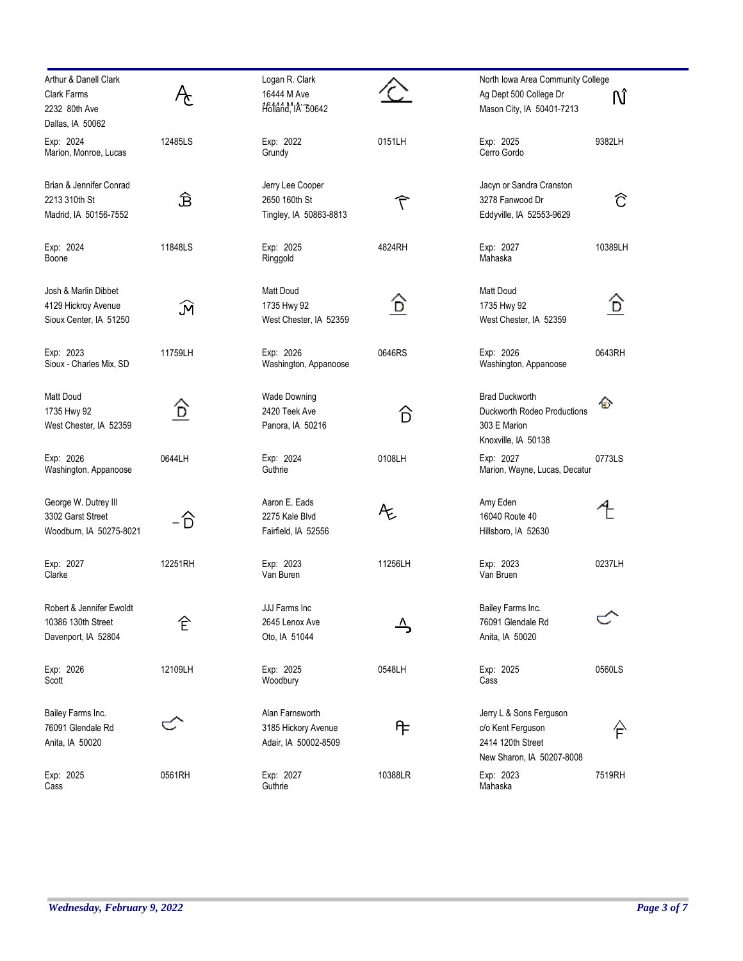| Arthur & Danell Clark<br>Clark Farms<br>2232 80th Ave<br>Dallas, IA 50062 |         | Logan R. Clark<br>16444 M Ave<br>Holland, IA 30642             |                  | North Iowa Area Community College<br>Ag Dept 500 College Dr<br>Mason City, IA 50401-7213       | Ñ       |
|---------------------------------------------------------------------------|---------|----------------------------------------------------------------|------------------|------------------------------------------------------------------------------------------------|---------|
| Exp: 2024<br>Marion, Monroe, Lucas                                        | 12485LS | Exp: 2022<br>Grundy                                            | 0151LH           | Exp: 2025<br>Cerro Gordo                                                                       | 9382LH  |
| Brian & Jennifer Conrad<br>2213 310th St<br>Madrid, IA 50156-7552         | Ê       | Jerry Lee Cooper<br>2650 160th St<br>Tingley, IA 50863-8813    | $\widehat{\tau}$ | Jacyn or Sandra Cranston<br>3278 Fanwood Dr<br>Eddyville, IA 52553-9629                        | ĉ       |
| Exp: 2024<br>Boone                                                        | 11848LS | Exp: 2025<br>Ringgold                                          | 4824RH           | Exp: 2027<br>Mahaska                                                                           | 10389LH |
| Josh & Marlin Dibbet<br>4129 Hickroy Avenue<br>Sioux Center, IA 51250     | M       | Matt Doud<br>1735 Hwy 92<br>West Chester, IA 52359             | ô                | Matt Doud<br>1735 Hwy 92<br>West Chester, IA 52359                                             | D)      |
| Exp: 2023<br>Sioux - Charles Mix, SD                                      | 11759LH | Exp: 2026<br>Washington, Appanoose                             | 0646RS           | Exp: 2026<br>Washington, Appanoose                                                             | 0643RH  |
| Matt Doud<br>1735 Hwy 92<br>West Chester, IA 52359                        | G)      | <b>Wade Downing</b><br>2420 Teek Ave<br>Panora, IA 50216       | 心                | <b>Brad Duckworth</b><br>Duckworth Rodeo Productions<br>303 E Marion<br>Knoxville, IA 50138    | ⊕       |
| Exp: 2026<br>Washington, Appanoose                                        | 0644LH  | Exp: 2024<br>Guthrie                                           | 0108LH           | Exp: 2027<br>Marion, Wayne, Lucas, Decatur                                                     | 0773LS  |
| George W. Dutrey III<br>3302 Garst Street<br>Woodburn, IA 50275-8021      | – D     | Aaron E. Eads<br>2275 Kale Blvd<br>Fairfield, IA 52556         | Æ                | Amy Eden<br>16040 Route 40<br>Hillsboro, IA 52630                                              |         |
| Exp: 2027<br>Clarke                                                       | 12251RH | Exp: 2023<br>Van Buren                                         | 11256LH          | Exp: 2023<br>Van Bruen                                                                         | 0237LH  |
| Robert & Jennifer Ewoldt<br>10386 130th Street<br>Davenport, IA 52804     | 仺       | JJJ Farms Inc<br>2645 Lenox Ave<br>Oto, IA 51044               |                  | Bailey Farms Inc.<br>76091 Glendale Rd<br>Anita, IA 50020                                      |         |
| Exp: 2026<br>Scott                                                        | 12109LH | Exp: 2025<br>Woodbury                                          | 0548LH           | Exp: 2025<br>Cass                                                                              | 0560LS  |
| Bailey Farms Inc.<br>76091 Glendale Rd<br>Anita, IA 50020                 |         | Alan Farnsworth<br>3185 Hickory Avenue<br>Adair, IA 50002-8509 | ᠲ                | Jerry L & Sons Ferguson<br>c/o Kent Ferguson<br>2414 120th Street<br>New Sharon, IA 50207-8008 | 合       |
| Exp: 2025<br>Cass                                                         | 0561RH  | Exp: 2027<br>Guthrie                                           | 10388LR          | Exp: 2023<br>Mahaska                                                                           | 7519RH  |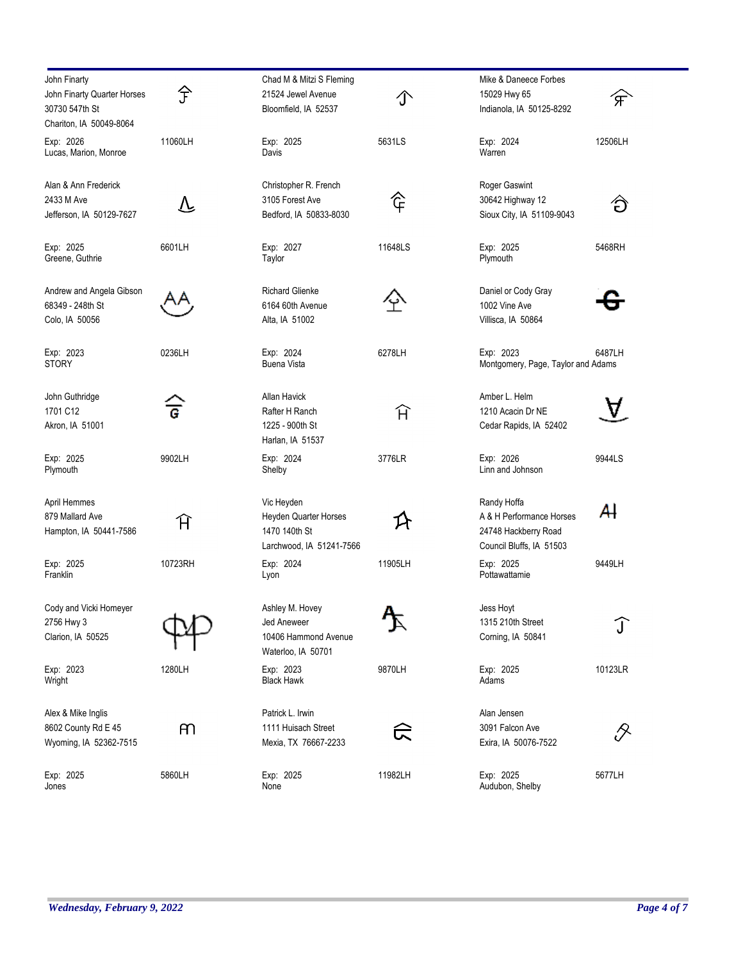| John Finarty                                                             |                | Chad M & Mitzi S Fleming                                                         |         | Mike & Daneece Forbes                                                                       |                          |
|--------------------------------------------------------------------------|----------------|----------------------------------------------------------------------------------|---------|---------------------------------------------------------------------------------------------|--------------------------|
| John Finarty Quarter Horses<br>30730 547th St<br>Chariton, IA 50049-8064 | 孒              | 21524 Jewel Avenue<br>Bloomfield, IA 52537                                       |         | 15029 Hwy 65<br>Indianola, IA 50125-8292                                                    | $\overline{\mathcal{F}}$ |
| Exp: 2026<br>Lucas, Marion, Monroe                                       | 11060LH        | Exp: 2025<br>Davis                                                               | 5631LS  | Exp: 2024<br>Warren                                                                         | 12506LH                  |
| Alan & Ann Frederick<br>2433 M Ave<br>Jefferson, IA 50129-7627           | 丛              | Christopher R. French<br>3105 Forest Ave<br>Bedford, IA 50833-8030               | で       | Roger Gaswint<br>30642 Highway 12<br>Sioux City, IA 51109-9043                              | ゚ゔ                       |
| Exp: 2025<br>Greene, Guthrie                                             | 6601LH         | Exp: 2027<br>Taylor                                                              | 11648LS | Exp: 2025<br>Plymouth                                                                       | 5468RH                   |
| Andrew and Angela Gibson<br>68349 - 248th St<br>Colo, IA 50056           |                | <b>Richard Glienke</b><br>6164 60th Avenue<br>Alta, IA 51002                     |         | Daniel or Cody Gray<br>1002 Vine Ave<br>Villisca, IA 50864                                  |                          |
| Exp: 2023<br><b>STORY</b>                                                | 0236LH         | Exp: 2024<br><b>Buena Vista</b>                                                  | 6278LH  | Exp: 2023<br>Montgomery, Page, Taylor and Adams                                             | 6487LH                   |
| John Guthridge<br>1701 C12<br>Akron, IA 51001                            | $\overline{G}$ | <b>Allan Havick</b><br>Rafter H Ranch<br>1225 - 900th St<br>Harlan, IA 51537     | Ĥ       | Amber L. Helm<br>1210 Acacin Dr NE<br>Cedar Rapids, IA 52402                                |                          |
| Exp: 2025<br>Plymouth                                                    | 9902LH         | Exp: 2024<br>Shelby                                                              | 3776LR  | Exp: 2026<br>Linn and Johnson                                                               | 9944LS                   |
| April Hemmes<br>879 Mallard Ave<br>Hampton, IA 50441-7586                | Ĥ              | Vic Heyden<br>Heyden Quarter Horses<br>1470 140th St<br>Larchwood, IA 51241-7566 |         | Randy Hoffa<br>A & H Performance Horses<br>24748 Hackberry Road<br>Council Bluffs, IA 51503 | Al                       |
| Exp: 2025<br>Franklin                                                    | 10723RH        | Exp: 2024<br>Lyon                                                                | 11905LH | Exp: 2025<br>Pottawattamie                                                                  | 9449LH                   |
| Cody and Vicki Homeyer<br>2756 Hwy 3<br>Clarion, IA 50525                |                | Ashley M. Hovey<br>Jed Aneweer<br>10406 Hammond Avenue<br>Waterloo, IA 50701     |         | Jess Hoyt<br>1315 210th Street<br>Corning, IA 50841                                         | $\left[ \cdot \right]$   |
| Exp: 2023<br>Wright                                                      | 1280LH         | Exp: 2023<br><b>Black Hawk</b>                                                   | 9870LH  | Exp: 2025<br>Adams                                                                          | 10123LR                  |
| Alex & Mike Inglis<br>8602 County Rd E 45<br>Wyoming, IA 52362-7515      | m              | Patrick L. Irwin<br>1111 Huisach Street<br>Mexia, TX 76667-2233                  |         | Alan Jensen<br>3091 Falcon Ave<br>Exira, IA 50076-7522                                      |                          |
| Exp: 2025<br>Jones                                                       | 5860LH         | Exp: 2025<br>None                                                                | 11982LH | Exp: 2025<br>Audubon, Shelby                                                                | 5677LH                   |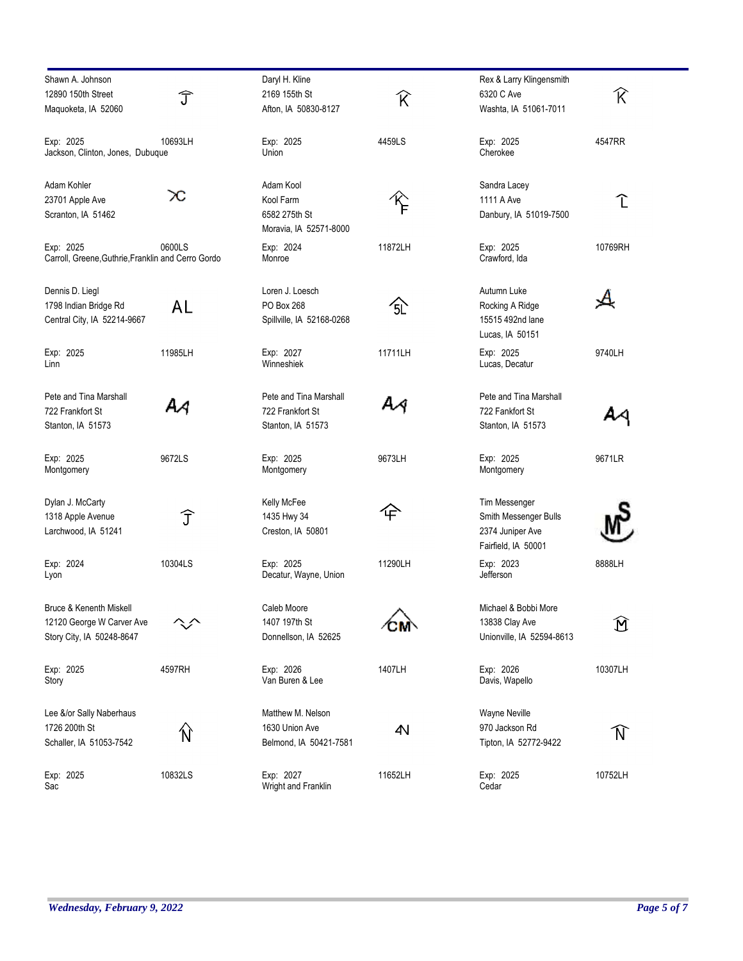| Shawn A. Johnson                                   |         | Daryl H. Kline                   |         | Rex & Larry Klingensmith  |                        |
|----------------------------------------------------|---------|----------------------------------|---------|---------------------------|------------------------|
| 12890 150th Street                                 | Ĵ       | 2169 155th St                    | R       | 6320 C Ave                | K                      |
| Maguoketa, IA 52060                                |         | Afton, IA 50830-8127             |         | Washta, IA 51061-7011     |                        |
| Exp: 2025                                          | 10693LH | Exp: 2025                        | 4459LS  | Exp: 2025                 | 4547RR                 |
| Jackson, Clinton, Jones, Dubuque                   |         | Union                            |         | Cherokee                  |                        |
| Adam Kohler                                        |         | Adam Kool                        |         | Sandra Lacey              |                        |
| 23701 Apple Ave                                    | œ       | Kool Farm                        |         | 1111 A Ave                | T                      |
| Scranton, IA 51462                                 |         | 6582 275th St                    |         | Danbury, IA 51019-7500    |                        |
|                                                    |         | Moravia, IA 52571-8000           |         |                           |                        |
| Exp: 2025                                          | 0600LS  | Exp: 2024                        | 11872LH | Exp: 2025                 | 10769RH                |
| Carroll, Greene, Guthrie, Franklin and Cerro Gordo |         | Monroe                           |         | Crawford, Ida             |                        |
| Dennis D. Liegl                                    |         | Loren J. Loesch                  |         | Autumn Luke               |                        |
| 1798 Indian Bridge Rd                              | AL      | PO Box 268                       | 公       | Rocking A Ridge           |                        |
| Central City, IA 52214-9667                        |         | Spillville, IA 52168-0268        |         | 15515 492nd lane          |                        |
|                                                    |         |                                  |         | Lucas, IA 50151           |                        |
| Exp: 2025                                          | 11985LH | Exp: 2027<br>Winneshiek          | 11711LH | Exp: 2025                 | 9740LH                 |
| Linn                                               |         |                                  |         | Lucas, Decatur            |                        |
| Pete and Tina Marshall                             |         | Pete and Tina Marshall           |         | Pete and Tina Marshall    |                        |
| 722 Frankfort St                                   | ΑA      | 722 Frankfort St                 |         | 722 Fankfort St           |                        |
| Stanton, IA 51573                                  |         | Stanton, IA 51573                |         | Stanton, IA 51573         |                        |
| Exp: 2025                                          | 9672LS  | Exp: 2025                        | 9673LH  | Exp: 2025                 | 9671LR                 |
| Montgomery                                         |         | Montgomery                       |         | Montgomery                |                        |
| Dylan J. McCarty                                   |         | Kelly McFee                      |         | Tim Messenger             |                        |
| 1318 Apple Avenue                                  | Î       | 1435 Hwy 34                      | 仐       | Smith Messenger Bulls     |                        |
| Larchwood, IA 51241                                |         | Creston, IA 50801                |         | 2374 Juniper Ave          |                        |
|                                                    |         |                                  |         | Fairfield, IA 50001       |                        |
| Exp: 2024                                          | 10304LS | Exp: 2025                        | 11290LH | Exp: 2023                 | 8888LH                 |
| Lyon                                               |         | Decatur, Wayne, Union            |         | Jefferson                 |                        |
| <b>Bruce &amp; Kenenth Miskell</b>                 |         | Caleb Moore                      |         | Michael & Bobbi More      |                        |
| 12120 George W Carver Ave                          |         | 1407 197th St                    |         | 13838 Clay Ave            | $\mathbf{\widehat{M}}$ |
| Story City, IA 50248-8647                          |         | Donnellson, IA 52625             |         | Unionville, IA 52594-8613 |                        |
| Exp: 2025                                          | 4597RH  | Exp: 2026                        | 1407LH  | Exp: 2026                 | 10307LH                |
| Story                                              |         | Van Buren & Lee                  |         | Davis, Wapello            |                        |
| Lee &/or Sally Naberhaus                           |         | Matthew M. Nelson                |         | Wayne Neville             |                        |
| 1726 200th St                                      |         | 1630 Union Ave                   | 4N      | 970 Jackson Rd            |                        |
| Schaller, IA 51053-7542                            | N)      | Belmond, IA 50421-7581           |         | Tipton, IA 52772-9422     | N                      |
|                                                    |         |                                  |         |                           |                        |
| Exp: 2025<br>Sac                                   | 10832LS | Exp: 2027<br>Wright and Franklin | 11652LH | Exp: 2025<br>Cedar        | 10752LH                |
|                                                    |         |                                  |         |                           |                        |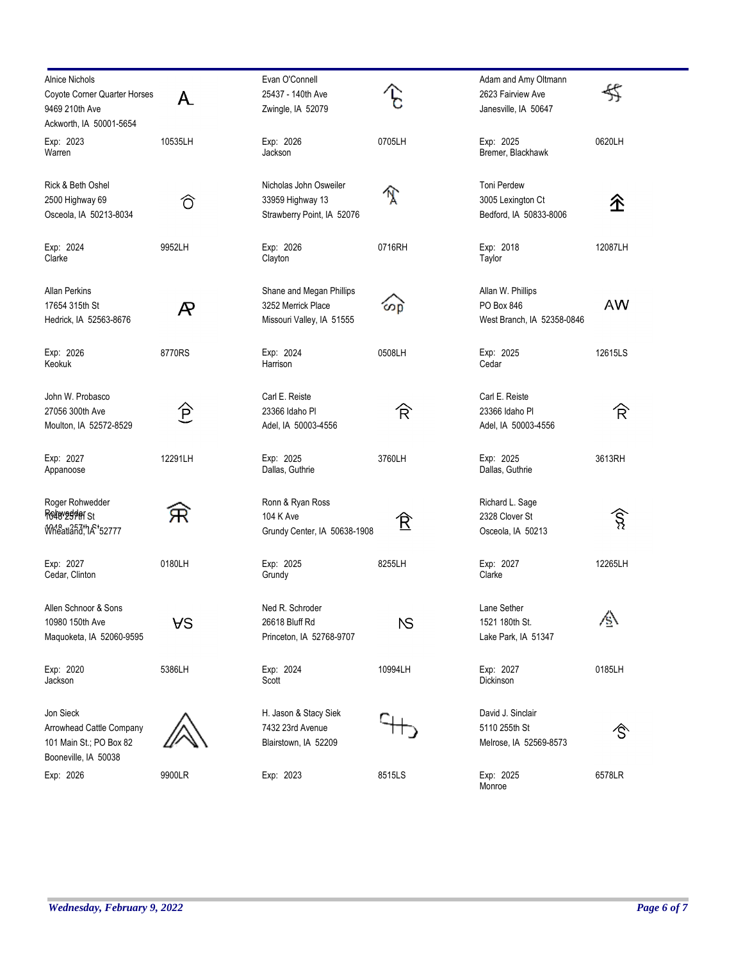| <b>Alnice Nichols</b><br>Coyote Corner Quarter Horses<br>9469 210th Ave<br>Ackworth, IA 50001-5654 | A                          | Evan O'Connell<br>25437 - 140th Ave<br>Zwingle, IA 52079                    |           | Adam and Amy Oltmann<br>2623 Fairview Ave<br>Janesville, IA 50647 | 殳         |
|----------------------------------------------------------------------------------------------------|----------------------------|-----------------------------------------------------------------------------|-----------|-------------------------------------------------------------------|-----------|
| Exp: 2023<br>Warren                                                                                | 10535LH                    | Exp: 2026<br>Jackson                                                        | 0705LH    | Exp: 2025<br>Bremer, Blackhawk                                    | 0620LH    |
| Rick & Beth Oshel<br>2500 Highway 69<br>Osceola, IA 50213-8034                                     | ∂                          | Nicholas John Osweiler<br>33959 Highway 13<br>Strawberry Point, IA 52076    | N         | Toni Perdew<br>3005 Lexington Ct<br>Bedford, IA 50833-8006        | 企         |
| Exp: 2024<br>Clarke                                                                                | 9952LH                     | Exp: 2026<br>Clayton                                                        | 0716RH    | Exp: 2018<br>Taylor                                               | 12087LH   |
| Allan Perkins<br>17654 315th St<br>Hedrick, IA 52563-8676                                          | $\boldsymbol{\mathcal{R}}$ | Shane and Megan Phillips<br>3252 Merrick Place<br>Missouri Valley, IA 51555 | တြော      | Allan W. Phillips<br>PO Box 846<br>West Branch, IA 52358-0846     | <b>AW</b> |
| Exp: 2026<br>Keokuk                                                                                | 8770RS                     | Exp: 2024<br>Harrison                                                       | 0508LH    | Exp: 2025<br>Cedar                                                | 12615LS   |
| John W. Probasco<br>27056 300th Ave<br>Moulton, IA 52572-8529                                      | $\widehat{\mathsf{P}}$     | Carl E. Reiste<br>23366 Idaho Pl<br>Adel, IA 50003-4556                     | R         | Carl E. Reiste<br>23366 Idaho Pl<br>Adel, IA 50003-4556           | 令         |
| Exp: 2027<br>Appanoose                                                                             | 12291LH                    | Exp: 2025<br>Dallas, Guthrie                                                | 3760LH    | Exp: 2025<br>Dallas, Guthrie                                      | 3613RH    |
| Roger Rohwedder<br>Rohoved der St<br>Wheatland, 1A <sup>+</sup> 52777                              | R                          | Ronn & Ryan Ross<br>104 K Ave<br>Grundy Center, IA 50638-1908               | 仓         | Richard L. Sage<br>2328 Clover St<br>Osceola, IA 50213            | ू<br>≫    |
| Exp: 2027<br>Cedar, Clinton                                                                        | 0180LH                     | Exp: 2025<br>Grundy                                                         | 8255LH    | Exp: 2027<br>Clarke                                               | 12265LH   |
| Allen Schnoor & Sons<br>10980 150th Ave<br>Maquoketa, IA 52060-9595                                | <b>AS</b>                  | Ned R. Schroder<br>26618 Bluff Rd<br>Princeton, IA 52768-9707               | <b>NS</b> | Lane Sether<br>1521 180th St.<br>Lake Park, IA 51347              | 忩         |
| Exp: 2020<br>Jackson                                                                               | 5386LH                     | Exp: 2024<br>Scott                                                          | 10994LH   | Exp: 2027<br>Dickinson                                            | 0185LH    |
| Jon Sieck<br>Arrowhead Cattle Company<br>101 Main St.; PO Box 82<br>Booneville, IA 50038           |                            | H. Jason & Stacy Siek<br>7432 23rd Avenue<br>Blairstown, IA 52209           |           | David J. Sinclair<br>5110 255th St<br>Melrose, IA 52569-8573      | 仒         |
| Exp: 2026                                                                                          | 9900LR                     | Exp: 2023                                                                   | 8515LS    | Exp: 2025<br>Monroe                                               | 6578LR    |